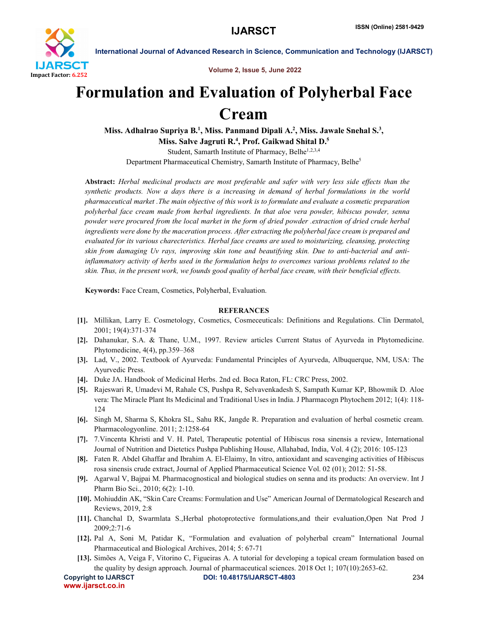

International Journal of Advanced Research in Science, Communication and Technology (IJARSCT)

Volume 2, Issue 5, June 2022

## Formulation and Evaluation of Polyherbal Face Cream

Miss. Adhalrao Supriya B.<sup>1</sup>, Miss. Panmand Dipali A.<sup>2</sup>, Miss. Jawale Snehal S.<sup>3</sup>, Miss. Salve Jagruti R.<sup>4</sup>, Prof. Gaikwad Shital D.<sup>5</sup> Student, Samarth Institute of Pharmacy, Belhe<sup>1,2,3,4</sup>

Department Pharmaceutical Chemistry, Samarth Institute of Pharmacy, Belhe<sup>5</sup>

Abstract: *Herbal medicinal products are most preferable and safer with very less side effects than the synthetic products. Now a days there is a increasing in demand of herbal formulations in the world pharmaceutical market .The main objective of this work is to formulate and evaluate a cosmetic preparation polyherbal face cream made from herbal ingredients. In that aloe vera powder, hibiscus powder, senna powder were procured from the local market in the form of dried powder .extraction of dried crude herbal ingredients were done by the maceration process. After extracting the polyherbal face cream is prepared and evaluated for its various charecteristics. Herbal face creams are used to moisturizing, cleansing, protecting skin from damaging Uv rays, improving skin tone and beautifying skin. Due to anti-bacterial and antiinflammatory activity of herbs used in the formulation helps to overcomes various problems related to the skin. Thus, in the present work, we founds good quality of herbal face cream, with their beneficial effects.*

Keywords: Face Cream, Cosmetics, Polyherbal, Evaluation.

## **REFERANCES**

- [1]. Millikan, Larry E. Cosmetology, Cosmetics, Cosmeceuticals: Definitions and Regulations. Clin Dermatol, 2001; 19(4):371-374
- [2]. Dahanukar, S.A. & Thane, U.M., 1997. Review articles Current Status of Ayurveda in Phytomedicine. Phytomedicine, 4(4), pp.359–368
- [3]. Lad, V., 2002. Textbook of Ayurveda: Fundamental Principles of Ayurveda, Albuquerque, NM, USA: The Ayurvedic Press.
- [4]. Duke JA. Handbook of Medicinal Herbs. 2nd ed. Boca Raton, FL: CRC Press, 2002.
- [5]. Rajeswari R, Umadevi M, Rahale CS, Pushpa R, Selvavenkadesh S, Sampath Kumar KP, Bhowmik D. Aloe vera: The Miracle Plant Its Medicinal and Traditional Uses in India. J Pharmacogn Phytochem 2012; 1(4): 118- 124
- [6]. Singh M, Sharma S, Khokra SL, Sahu RK, Jangde R. Preparation and evaluation of herbal cosmetic cream. Pharmacologyonline. 2011; 2:1258-64
- [7]. 7.Vincenta Khristi and V. H. Patel, Therapeutic potential of Hibiscus rosa sinensis a review, International Journal of Nutrition and Dietetics Pushpa Publishing House, Allahabad, India, Vol. 4 (2); 2016: 105-123
- [8]. Faten R. Abdel Ghaffar and Ibrahim A. El-Elaimy, In vitro, antioxidant and scavenging activities of Hibiscus rosa sinensis crude extract, Journal of Applied Pharmaceutical Science Vol. 02 (01); 2012: 51-58.
- [9]. Agarwal V, Bajpai M. Pharmacognostical and biological studies on senna and its products: An overview. Int J Pharm Bio Sci., 2010; 6(2): 1-10.
- [10]. Mohiuddin AK, "Skin Care Creams: Formulation and Use" American Journal of Dermatological Research and Reviews, 2019, 2:8
- [11]. Chanchal D, Swarmlata S.,Herbal photoprotective formulations,and their evaluation,Open Nat Prod J 2009;2:71-6
- [12]. Pal A, Soni M, Patidar K, "Formulation and evaluation of polyherbal cream" International Journal Pharmaceutical and Biological Archives, 2014; 5: 67-71
- [13]. Simões A, Veiga F, Vitorino C, Figueiras A. A tutorial for developing a topical cream formulation based on the quality by design approach. Journal of pharmaceutical sciences. 2018 Oct 1; 107(10):2653-62.